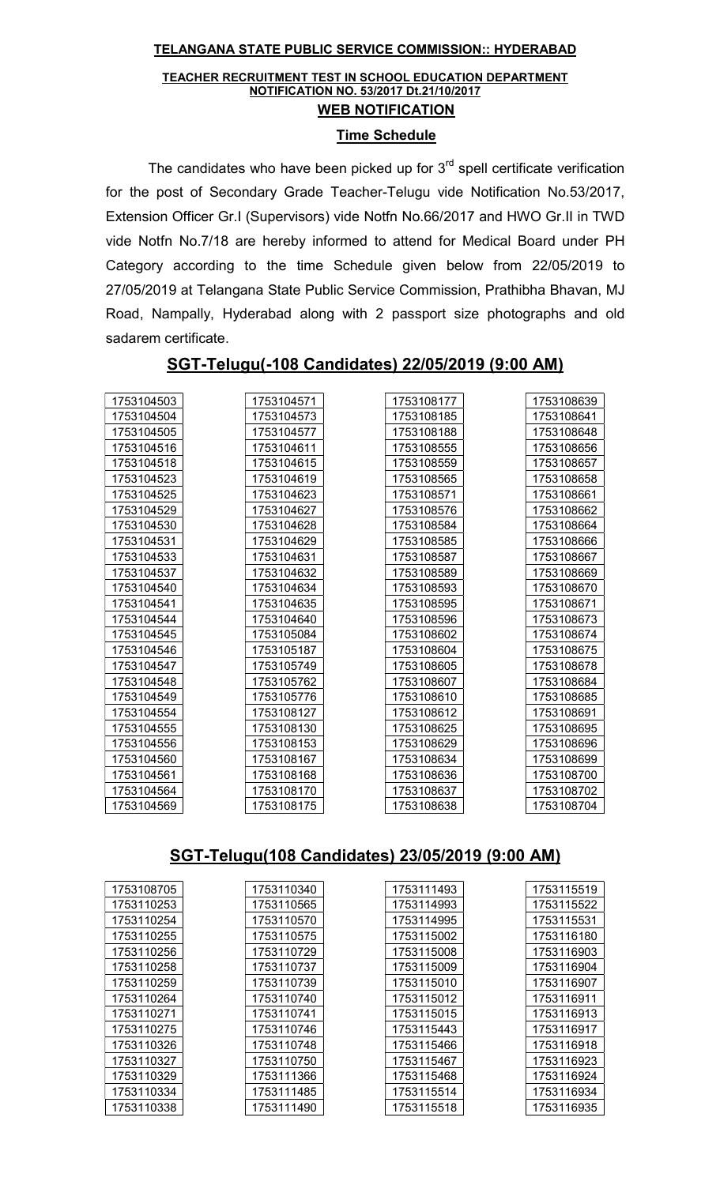#### TELANGANA STATE PUBLIC SERVICE COMMISSION:: HYDERABAD

#### TEACHER RECRUITMENT TEST IN SCHOOL EDUCATION DEPARTMENT NOTIFICATION NO. 53/2017 Dt.21/10/2017 WEB NOTIFICATION

#### Time Schedule

The candidates who have been picked up for  $3<sup>rd</sup>$  spell certificate verification for the post of Secondary Grade Teacher-Telugu vide Notification No.53/2017, Extension Officer Gr.I (Supervisors) vide Notfn No.66/2017 and HWO Gr.II in TWD vide Notfn No.7/18 are hereby informed to attend for Medical Board under PH Category according to the time Schedule given below from 22/05/2019 to 27/05/2019 at Telangana State Public Service Commission, Prathibha Bhavan, MJ Road, Nampally, Hyderabad along with 2 passport size photographs and old sadarem certificate.

| 1753104503 | 1753104571 | 1753108177 | 1753108639 |
|------------|------------|------------|------------|
| 1753104504 | 1753104573 | 1753108185 | 1753108641 |
| 1753104505 | 1753104577 | 1753108188 | 1753108648 |
| 1753104516 | 1753104611 | 1753108555 | 1753108656 |
| 1753104518 | 1753104615 | 1753108559 | 1753108657 |
| 1753104523 | 1753104619 | 1753108565 | 1753108658 |
| 1753104525 | 1753104623 | 1753108571 | 1753108661 |
| 1753104529 | 1753104627 | 1753108576 | 1753108662 |
| 1753104530 | 1753104628 | 1753108584 | 1753108664 |
| 1753104531 | 1753104629 | 1753108585 | 1753108666 |
| 1753104533 | 1753104631 | 1753108587 | 1753108667 |
| 1753104537 | 1753104632 | 1753108589 | 1753108669 |
| 1753104540 | 1753104634 | 1753108593 | 1753108670 |
| 1753104541 | 1753104635 | 1753108595 | 1753108671 |
| 1753104544 | 1753104640 | 1753108596 | 1753108673 |
| 1753104545 | 1753105084 | 1753108602 | 1753108674 |
| 1753104546 | 1753105187 | 1753108604 | 1753108675 |
| 1753104547 | 1753105749 | 1753108605 | 1753108678 |
| 1753104548 | 1753105762 | 1753108607 | 1753108684 |
| 1753104549 | 1753105776 | 1753108610 | 1753108685 |
| 1753104554 | 1753108127 | 1753108612 | 1753108691 |
| 1753104555 | 1753108130 | 1753108625 | 1753108695 |
| 1753104556 | 1753108153 | 1753108629 | 1753108696 |
| 1753104560 | 1753108167 | 1753108634 | 1753108699 |
| 1753104561 | 1753108168 | 1753108636 | 1753108700 |
| 1753104564 | 1753108170 | 1753108637 | 1753108702 |
| 1753104569 | 1753108175 | 1753108638 | 1753108704 |

### SGT-Telugu(-108 Candidates) 22/05/2019 (9:00 AM)

### SGT-Telugu(108 Candidates) 23/05/2019 (9:00 AM)

| 1753108705 | 1753110340 | 1753111493 | 1753115519 |
|------------|------------|------------|------------|
| 1753110253 | 1753110565 | 1753114993 | 1753115522 |
| 1753110254 | 1753110570 | 1753114995 | 1753115531 |
| 1753110255 | 1753110575 | 1753115002 | 1753116180 |
| 1753110256 | 1753110729 | 1753115008 | 1753116903 |
| 1753110258 | 1753110737 | 1753115009 | 1753116904 |
| 1753110259 | 1753110739 | 1753115010 | 1753116907 |
| 1753110264 | 1753110740 | 1753115012 | 1753116911 |
| 1753110271 | 1753110741 | 1753115015 | 1753116913 |
| 1753110275 | 1753110746 | 1753115443 | 1753116917 |
| 1753110326 | 1753110748 | 1753115466 | 1753116918 |
| 1753110327 | 1753110750 | 1753115467 | 1753116923 |
| 1753110329 | 1753111366 | 1753115468 | 1753116924 |
| 1753110334 | 1753111485 | 1753115514 | 1753116934 |
| 1753110338 | 1753111490 | 1753115518 | 1753116935 |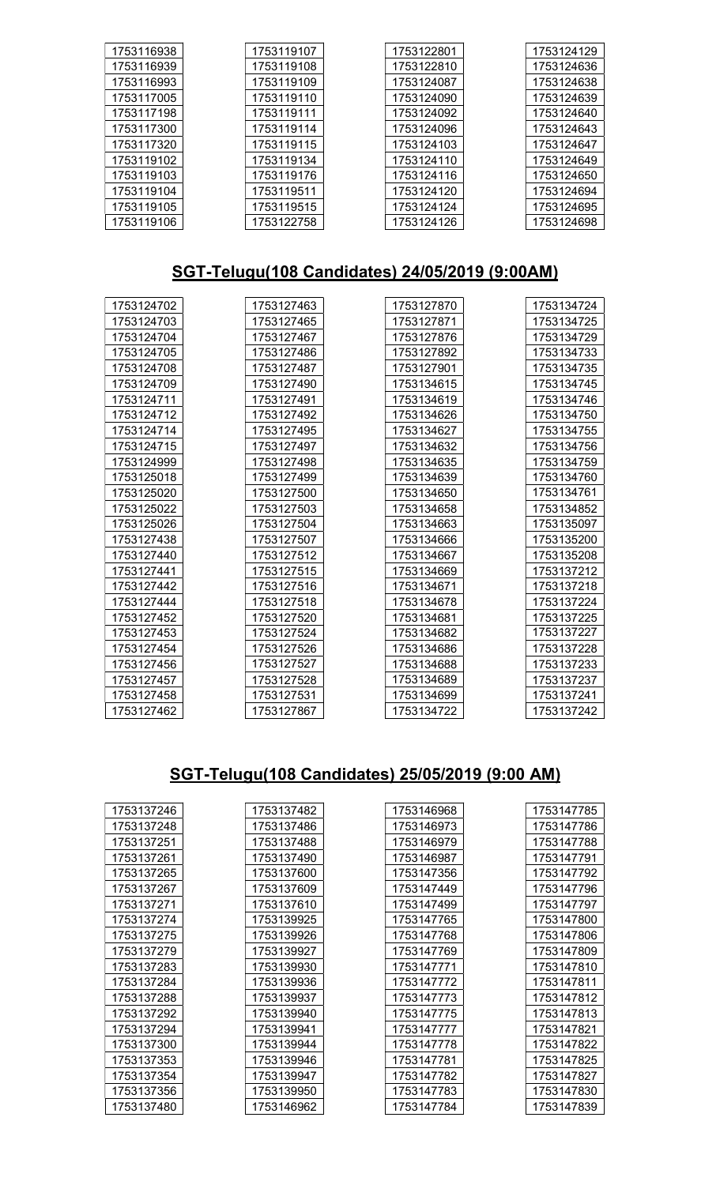| 1753116938 | 1753119107 | 1753122801 | 1753124129 |
|------------|------------|------------|------------|
| 1753116939 | 1753119108 | 1753122810 | 1753124636 |
| 1753116993 | 1753119109 | 1753124087 | 1753124638 |
| 1753117005 | 1753119110 | 1753124090 | 1753124639 |
| 1753117198 | 1753119111 | 1753124092 | 1753124640 |
| 1753117300 | 1753119114 | 1753124096 | 1753124643 |
| 1753117320 | 1753119115 | 1753124103 | 1753124647 |
| 1753119102 | 1753119134 | 1753124110 | 1753124649 |
| 1753119103 | 1753119176 | 1753124116 | 1753124650 |
| 1753119104 | 1753119511 | 1753124120 | 1753124694 |
| 1753119105 | 1753119515 | 1753124124 | 1753124695 |
| 1753119106 | 1753122758 | 1753124126 | 1753124698 |

# SGT-Telugu(108 Candidates) 24/05/2019 (9:00AM)

| 1753124702 | 1753127463 | 1753127870 | 1753134724 |
|------------|------------|------------|------------|
| 1753124703 | 1753127465 | 1753127871 | 1753134725 |
| 1753124704 | 1753127467 | 1753127876 | 1753134729 |
| 1753124705 | 1753127486 | 1753127892 | 1753134733 |
| 1753124708 | 1753127487 | 1753127901 | 1753134735 |
| 1753124709 | 1753127490 | 1753134615 | 1753134745 |
| 1753124711 | 1753127491 | 1753134619 | 1753134746 |
| 1753124712 | 1753127492 | 1753134626 | 1753134750 |
| 1753124714 | 1753127495 | 1753134627 | 1753134755 |
| 1753124715 | 1753127497 | 1753134632 | 1753134756 |
| 1753124999 | 1753127498 | 1753134635 | 1753134759 |
| 1753125018 | 1753127499 | 1753134639 | 1753134760 |
| 1753125020 | 1753127500 | 1753134650 | 1753134761 |
| 1753125022 | 1753127503 | 1753134658 | 1753134852 |
| 1753125026 | 1753127504 | 1753134663 | 1753135097 |
| 1753127438 | 1753127507 | 1753134666 | 1753135200 |
| 1753127440 | 1753127512 | 1753134667 | 1753135208 |
| 1753127441 | 1753127515 | 1753134669 | 1753137212 |
| 1753127442 | 1753127516 | 1753134671 | 1753137218 |
| 1753127444 | 1753127518 | 1753134678 | 1753137224 |
| 1753127452 | 1753127520 | 1753134681 | 1753137225 |
| 1753127453 | 1753127524 | 1753134682 | 1753137227 |
| 1753127454 | 1753127526 | 1753134686 | 1753137228 |
| 1753127456 | 1753127527 | 1753134688 | 1753137233 |
| 1753127457 | 1753127528 | 1753134689 | 1753137237 |
| 1753127458 | 1753127531 | 1753134699 | 1753137241 |
| 1753127462 | 1753127867 | 1753134722 | 1753137242 |

# SGT-Telugu(108 Candidates) 25/05/2019 (9:00 AM)

| 1753137246 | 1753137482 | 1753146968 | 1753147785 |
|------------|------------|------------|------------|
| 1753137248 | 1753137486 | 1753146973 | 1753147786 |
| 1753137251 | 1753137488 | 1753146979 | 1753147788 |
| 1753137261 | 1753137490 | 1753146987 | 1753147791 |
| 1753137265 | 1753137600 | 1753147356 | 1753147792 |
| 1753137267 | 1753137609 | 1753147449 | 1753147796 |
| 1753137271 | 1753137610 | 1753147499 | 1753147797 |
| 1753137274 | 1753139925 | 1753147765 | 1753147800 |
| 1753137275 | 1753139926 | 1753147768 | 1753147806 |
| 1753137279 | 1753139927 | 1753147769 | 1753147809 |
| 1753137283 | 1753139930 | 1753147771 | 1753147810 |
| 1753137284 | 1753139936 | 1753147772 | 1753147811 |
| 1753137288 | 1753139937 | 1753147773 | 1753147812 |
| 1753137292 | 1753139940 | 1753147775 | 1753147813 |
| 1753137294 | 1753139941 | 1753147777 | 1753147821 |
| 1753137300 | 1753139944 | 1753147778 | 1753147822 |
| 1753137353 | 1753139946 | 1753147781 | 1753147825 |
| 1753137354 | 1753139947 | 1753147782 | 1753147827 |
| 1753137356 | 1753139950 | 1753147783 | 1753147830 |
| 1753137480 | 1753146962 | 1753147784 | 1753147839 |